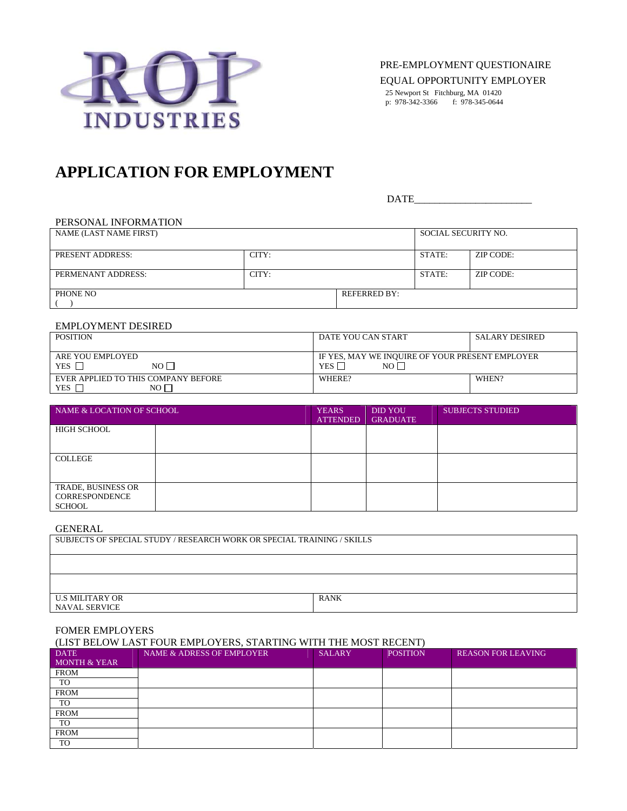

PRE-EMPLOYMENT QUESTIONAIRE

EQUAL OPPORTUNITY EMPLOYER

25 Newport St Fitchburg, MA 01420 p: 978-342-3366 f: 978-345-0644

# **APPLICATION FOR EMPLOYMENT**

DATE

# PERSONAL INFORMATION

| NAME (LAST NAME FIRST) |       | SOCIAL SECURITY NO. |        |           |
|------------------------|-------|---------------------|--------|-----------|
|                        |       |                     |        |           |
| PRESENT ADDRESS:       | CITY: |                     | STATE: | ZIP CODE: |
|                        |       |                     |        |           |
| PERMENANT ADDRESS:     | CITY: |                     | STATE: | ZIP CODE: |
|                        |       |                     |        |           |
| PHONE NO               |       | <b>REFERRED BY:</b> |        |           |
|                        |       |                     |        |           |

# EMPLOYMENT DESIRED

| <b>POSITION</b>                                         | DATE YOU CAN START                                                      | <b>SALARY DESIRED</b> |  |  |
|---------------------------------------------------------|-------------------------------------------------------------------------|-----------------------|--|--|
| ARE YOU EMPLOYED<br>YES <b>F</b><br>no F                | IF YES. MAY WE INOUIRE OF YOUR PRESENT EMPLOYER<br>YES <b>F</b><br>no f |                       |  |  |
| EVER APPLIED TO THIS COMPANY BEFORE<br>YES<br>NO $\Box$ | WHERE?                                                                  | WHEN?                 |  |  |

| NAME & LOCATION OF SCHOOL                                           | <b>YEARS</b><br><b>ATTENDED</b> | <b>DID YOU</b><br><b>GRADUATE</b> | <b>SUBJECTS STUDIED</b> |
|---------------------------------------------------------------------|---------------------------------|-----------------------------------|-------------------------|
| HIGH SCHOOL                                                         |                                 |                                   |                         |
| COLLEGE                                                             |                                 |                                   |                         |
| <b>TRADE, BUSINESS OR</b><br><b>CORRESPONDENCE</b><br><b>SCHOOL</b> |                                 |                                   |                         |

### GENERAL

| SUBJECTS OF SPECIAL STUDY / RESEARCH WORK OR SPECIAL TRAINING / SKILLS |             |  |  |
|------------------------------------------------------------------------|-------------|--|--|
|                                                                        |             |  |  |
|                                                                        |             |  |  |
| U.S MILITARY OR<br>NAVAL SERVICE                                       | <b>RANK</b> |  |  |

## FOMER EMPLOYERS

# (LIST BELOW LAST FOUR EMPLOYERS, STARTING WITH THE MOST RECENT)

| <b>DATE</b>             | NAME & ADRESS OF EMPLOYER | <b>SALARY</b> | <b>POSITION</b> | <b>REASON FOR LEAVING</b> |
|-------------------------|---------------------------|---------------|-----------------|---------------------------|
| <b>MONTH &amp; YEAR</b> |                           |               |                 |                           |
| <b>FROM</b>             |                           |               |                 |                           |
| TO                      |                           |               |                 |                           |
| <b>FROM</b>             |                           |               |                 |                           |
| TO                      |                           |               |                 |                           |
| <b>FROM</b>             |                           |               |                 |                           |
| TO                      |                           |               |                 |                           |
| <b>FROM</b>             |                           |               |                 |                           |
| TO                      |                           |               |                 |                           |